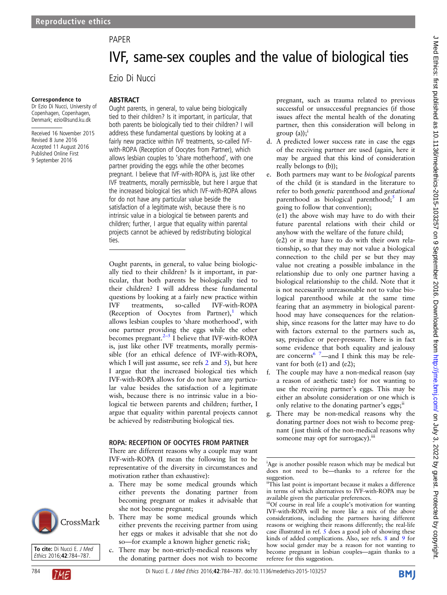## PAPER

# IVF, same-sex couples and the value of biological ties

Ezio Di Nucci

#### Correspondence to

Dr Ezio Di Nucci, University of Copenhagen, Copenhagen, Denmark; ezio@sund.ku.dk

Received 16 November 2015 Revised 8 June 2016 Accepted 11 August 2016 Published Online First 9 September 2016

## ABSTRACT

Ought parents, in general, to value being biologically tied to their children? Is it important, in particular, that both parents be biologically tied to their children? I will address these fundamental questions by looking at a fairly new practice within IVF treatments, so-called IVFwith-ROPA (Reception of Oocytes from Partner), which allows lesbian couples to 'share motherhood', with one partner providing the eggs while the other becomes pregnant. I believe that IVF-with-ROPA is, just like other IVF treatments, morally permissible, but here I argue that the increased biological ties which IVF-with-ROPA allows for do not have any particular value beside the satisfaction of a legitimate wish, because there is no intrinsic value in a biological tie between parents and children; further, I argue that equality within parental projects cannot be achieved by redistributing biological ties.

Ought parents, in general, to value being biologically tied to their children? Is it important, in particular, that both parents be biologically tied to their children? I will address these fundamental questions by looking at a fairly new practice within IVF treatments, so-called IVF-with-ROPA (Reception of Oocytes from Partner), $<sup>1</sup>$  $<sup>1</sup>$  $<sup>1</sup>$  which</sup> allows lesbian couples to 'share motherhood', with one partner providing the eggs while the other becomes pregnant. $2-5$  $2-5$  I believe that IVF-with-ROPA is, just like other IVF treatments, morally permissible (for an ethical defence of IVF-with-ROPA, which I will just assume, see refs  $2$  and  $5$ ), but here I argue that the increased biological ties which IVF-with-ROPA allows for do not have any particular value besides the satisfaction of a legitimate wish, because there is no intrinsic value in a biological tie between parents and children; further, I argue that equality within parental projects cannot be achieved by redistributing biological ties.

#### ROPA: RECEPTION OF OOCYTES FROM PARTNER

There are different reasons why a couple may want IVF-with-ROPA (I mean the following list to be representative of the diversity in circumstances and motivation rather than exhaustive):

- a. There may be some medical grounds which either prevents the donating partner from becoming pregnant or makes it advisable that she not become pregnant;
- b. There may be some medical grounds which either prevents the receiving partner from using her eggs or makes it advisable that she not do so—for example a known higher genetic risk;
- c. There may be non-strictly-medical reasons why the donating partner does not wish to become

pregnant, such as trauma related to previous successful or unsuccessful pregnancies (if those issues affect the mental health of the donating partner, then this consideration will belong in group  $(a)$ ;<sup>i</sup>

- d. A predicted lower success rate in case the eggs of the receiving partner are used (again, here it may be argued that this kind of consideration really belongs to (b));
- e. Both partners may want to be biological parents of the child (it is standard in the literature to refer to both genetic parenthood and gestational parenthood as biological parenthood;<sup>[5](#page-3-0)</sup> I am going to follow that convention);

(e1) the above wish may have to do with their future parental relations with their child or anyhow with the welfare of the future child;

(e2) or it may have to do with their own relationship, so that they may not value a biological connection to the child per se but they may value not creating a possible imbalance in the relationship due to only one partner having a biological relationship to the child. Note that it is not necessarily unreasonable not to value biological parenthood while at the same time fearing that an asymmetry in biological parenthood may have consequences for the relationship, since reasons for the latter may have to do with factors external to the partners such as, say, prejudice or peer-pressure. There is in fact some evidence that both equality and jealousy are concerns<sup>6 7</sup>—and I think this may be relevant for both (e1) and (e2);

- f. The couple may have a non-medical reason (say a reason of aesthetic taste) for not wanting to use the receiving partner's eggs. This may be either an absolute consideration or one which is only relative to the donating partner's eggs;<sup>ii</sup>
- g. There may be non-medical reasons why the donating partner does not wish to become pregnant ( just think of the non-medical reasons why someone may opt for surrogacy).<sup>iii</sup>

<sup>i</sup>Age is another possible reason which may be medical but does not need to be—thanks to a referee for the suggestion.

IVF-with-ROPA will be more like a mix of the above considerations, including the partners having different reasons or weighing their reasons differently; the real-life case illustrated in ref. [5](#page-3-0) does a good job of showing these kinds of added complications. Also, see refs. [8](#page-3-0) and [9](#page-3-0) for how social gender may be a reason for not wanting to become pregnant in lesbian couples—again thanks to a referee for this suggestion.



To cite: Di Nucci E. J Med Ethics 2016;42:784–787.



iiThis last point is important because it makes a difference in terms of which alternatives to IVF-with-ROPA may be available given the particular preferences. iiiOf course in real life a couple's motivation for wanting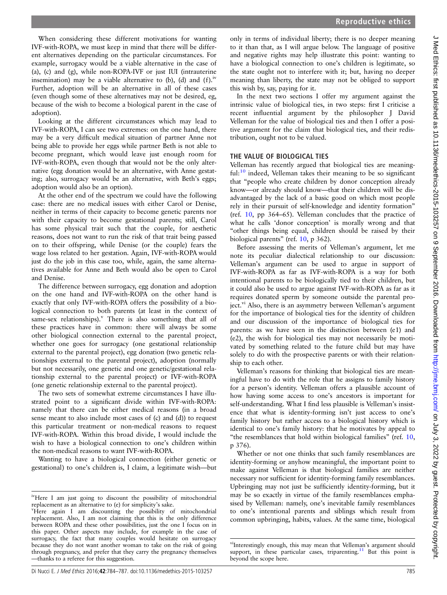When considering these different motivations for wanting IVF-with-ROPA, we must keep in mind that there will be different alternatives depending on the particular circumstances. For example, surrogacy would be a viable alternative in the case of (a), (c) and (g), while non-ROPA-IVF or just IUI (intrauterine insemination) may be a viable alternative to (b), (d) and  $(f)$ .<sup>iv</sup> Further, adoption will be an alternative in all of these cases (even though some of these alternatives may not be desired, eg, because of the wish to become a biological parent in the case of adoption).

Looking at the different circumstances which may lead to IVF-with-ROPA, I can see two extremes: on the one hand, there may be a very difficult medical situation of partner Anne not being able to provide her eggs while partner Beth is not able to become pregnant, which would leave just enough room for IVF-with-ROPA, even though that would not be the only alternative (egg donation would be an alternative, with Anne gestating; also, surrogacy would be an alternative, with Beth's eggs; adoption would also be an option).

At the other end of the spectrum we could have the following case: there are no medical issues with either Carol or Denise, neither in terms of their capacity to become genetic parents nor with their capacity to become gestational parents; still, Carol has some physical trait such that the couple, for aesthetic reasons, does not want to run the risk of that trait being passed on to their offspring, while Denise (or the couple) fears the wage loss related to her gestation. Again, IVF-with-ROPA would just do the job in this case too, while, again, the same alternatives available for Anne and Beth would also be open to Carol and Denise.

The difference between surrogacy, egg donation and adoption on the one hand and IVF-with-ROPA on the other hand is exactly that only IVF-with-ROPA offers the possibility of a biological connection to both parents (at least in the context of same-sex relationships).<sup> $v$ </sup> There is also something that all of these practices have in common: there will always be some other biological connection external to the parental project, whether one goes for surrogacy (one gestational relationship external to the parental project), egg donation (two genetic relationships external to the parental project), adoption (normally but not necessarily, one genetic and one genetic/gestational relationship external to the parental project) or IVF-with-ROPA (one genetic relationship external to the parental project).

The two sets of somewhat extreme circumstances I have illustrated point to a significant divide within IVF-with-ROPA: namely that there can be either medical reasons (in a broad sense meant to also include most cases of (c) and (d)) to request this particular treatment or non-medical reasons to request IVF-with-ROPA. Within this broad divide, I would include the wish to have a biological connection to one's children within the non-medical reasons to want IVF-with-ROPA.

Wanting to have a biological connection (either genetic or gestational) to one's children is, I claim, a legitimate wish—but

only in terms of individual liberty; there is no deeper meaning to it than that, as I will argue below. The language of positive and negative rights may help illustrate this point: wanting to have a biological connection to one's children is legitimate, so the state ought not to interfere with it; but, having no deeper meaning than liberty, the state may not be obliged to support this wish by, say, paying for it.

In the next two sections I offer my argument against the intrinsic value of biological ties, in two steps: first I criticise a recent influential argument by the philosopher J David Velleman for the value of biological ties and then I offer a positive argument for the claim that biological ties, and their redistribution, ought not to be valued.

## THE VALUE OF BIOLOGICAL TIES

Velleman has recently argued that biological ties are meaning- $\text{ful:}^{\text{10}}$  $\text{ful:}^{\text{10}}$  $\text{ful:}^{\text{10}}$  indeed, Velleman takes their meaning to be so significant that "people who create children by donor conception already know—or already should know—that their children will be disadvantaged by the lack of a basic good on which most people rely in their pursuit of self-knowledge and identity formation" (ref. [10](#page-3-0), pp 364–65). Velleman concludes that the practice of what he calls 'donor conception' is morally wrong and that "other things being equal, children should be raised by their biological parents" (ref. [10,](#page-3-0) p 362).

Before assessing the merits of Velleman's argument, let me note its peculiar dialectical relationship to our discussion: Velleman's argument can be used to argue in support of IVF-with-ROPA as far as IVF-with-ROPA is a way for both intentional parents to be biologically tied to their children, but it could also be used to argue against IVF-with-ROPA as far as it requires donated sperm by someone outside the parental project.<sup>v<sub>1</sub></sup> Also, there is an asymmetry between Velleman's argument for the importance of biological ties for the identity of children and our discussion of the importance of biological ties for parents: as we have seen in the distinction between (e1) and (e2), the wish for biological ties may not necessarily be motivated by something related to the future child but may have solely to do with the prospective parents or with their relationship to each other.

Velleman's reasons for thinking that biological ties are meaningful have to do with the role that he assigns to family history for a person's identity. Velleman offers a plausible account of how having some access to one's ancestors is important for self-understanding. What I find less plausible is Velleman's insistence that what is identity-forming isn't just access to one's family history but rather access to a biological history which is identical to one's family history: that he motivates by appeal to "the resemblances that hold within biological families" (ref. [10,](#page-3-0) p 376).

Whether or not one thinks that such family resemblances are identity-forming or anyhow meaningful, the important point to make against Velleman is that biological families are neither necessary nor sufficient for identity-forming family resemblances. Upbringing may not just be sufficiently identity-forming, but it may be so exactly in virtue of the family resemblances emphasised by Velleman: namely, one's inevitable family resemblances to one's intentional parents and siblings which result from common upbringing, habits, values. At the same time, biological

ivHere I am just going to discount the possibility of mitochondrial replacement as an alternative to (e) for simplicity's sake.

<sup>&</sup>lt;sup>v</sup>Here again I am discounting the possibility of mitochondrial replacement. Also, I am not claiming that this is the only difference between ROPA and these other possibilities, just the one I focus on in this paper. Other aspects may include, for example in the case of surrogacy, the fact that many couples would hesitate on surrogacy because they do not want another woman to take on the risk of going through pregnancy, and prefer that they carry the pregnancy themselves —thanks to a referee for this suggestion.

viInterestingly enough, this may mean that Velleman's argument should support, in these particular cases, triparenting.<sup>[11](#page-3-0)</sup> But this point is beyond the scope here.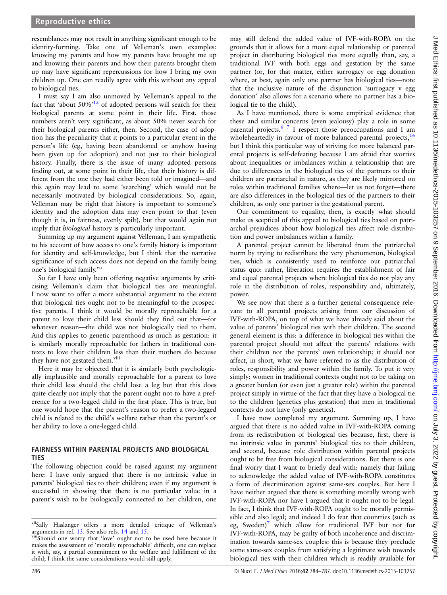resemblances may not result in anything significant enough to be identity-forming. Take one of Velleman's own examples: knowing my parents and how my parents have brought me up and knowing their parents and how their parents brought them up may have significant repercussions for how I bring my own children up. One can readily agree with this without any appeal to biological ties.

I must say I am also unmoved by Velleman's appeal to the fact that 'about  $50\%$ <sup>[12](#page-3-0)</sup> of adopted persons will search for their biological parents at some point in their life. First, those numbers aren't very significant, as about 50% never search for their biological parents either, then. Second, the case of adoption has the peculiarity that it points to a particular event in the person's life (eg, having been abandoned or anyhow having been given up for adoption) and not just to their biological history. Finally, there is the issue of many adopted persons finding out, at some point in their life, that their history is different from the one they had either been told or imagined—and this again may lead to some 'searching' which would not be necessarily motivated by biological considerations. So, again, Velleman may be right that history is important to someone's identity and the adoption data may even point to that (even though it is, in fairness, evenly spilt), but that would again not imply that biological history is particularly important.

Summing up my argument against Velleman, I am sympathetic to his account of how access to one's family history is important for identity and self-knowledge, but I think that the narrative significance of such access does not depend on the family being one's biological family.vii

So far I have only been offering negative arguments by criticising Velleman's claim that biological ties are meaningful. I now want to offer a more substantial argument to the extent that biological ties ought not to be meaningful to the prospective parents. I think it would be morally reproachable for a parent to love their child less should they find out that—for whatever reason—the child was not biologically tied to them. And this applies to genetic parenthood as much as gestation: it is similarly morally reproachable for fathers in traditional contexts to love their children less than their mothers do because they have not gestated them.<sup>viii</sup>

Here it may be objected that it is similarly both psychologically implausible and morally reproachable for a parent to love their child less should the child lose a leg but that this does quite clearly not imply that the parent ought not to have a preference for a two-legged child in the first place. This is true, but one would hope that the parent's reason to prefer a two-legged child is related to the child's welfare rather than the parent's or her ability to love a one-legged child.

## FAIRNESS WITHIN PARENTAL PROJECTS AND BIOLOGICAL TIES

The following objection could be raised against my argument here: I have only argued that there is no intrinsic value in parents' biological ties to their children; even if my argument is successful in showing that there is no particular value in a parent's wish to be biologically connected to her children, one

may still defend the added value of IVF-with-ROPA on the grounds that it allows for a more equal relationship or parental project in distributing biological ties more equally than, say, a traditional IVF with both eggs and gestation by the same partner (or, for that matter, either surrogacy or egg donation where, at best, again only one partner has biological ties—note that the inclusive nature of the disjunction 'surrogacy v egg donation' also allows for a scenario where no partner has a biological tie to the child).

As I have mentioned, there is some empirical evidence that these and similar concerns (even jealousy) play a role in some parental projects.<sup>[6 7](#page-3-0)</sup> I respect those preoccupations and I am wholeheartedly in favour of more balanced parental projects,<sup>[16](#page-3-0)</sup> but I think this particular way of striving for more balanced parental projects is self-defeating because I am afraid that worries about inequalities or imbalances within a relationship that are due to differences in the biological ties of the partners to their children are patriarchal in nature, as they are likely mirrored on roles within traditional families where—let us not forget—there are also differences in the biological ties of the partners to their children, as only one partner is the gestational parent.

Our commitment to equality, then, is exactly what should make us sceptical of this appeal to biological ties based on patriarchal prejudices about how biological ties affect role distribution and power imbalances within a family.

A parental project cannot be liberated from the patriarchal norm by trying to redistribute the very phenomenon, biological ties, which is consistently used to reinforce our patriarchal status quo: rather, liberation requires the establishment of fair and equal parental projects where biological ties do not play any role in the distribution of roles, responsibility and, ultimately, power.

We see now that there is a further general consequence relevant to all parental projects arising from our discussion of IVF-with-ROPA, on top of what we have already said about the value of parents' biological ties with their children. The second general element is this: a difference in biological ties within the parental project should not affect the parents' relations with their children nor the parents' own relationship; it should not affect, in short, what we have referred to as the distribution of roles, responsibility and power within the family. To put it very simply: women in traditional contexts ought not to be taking on a greater burden (or even just a greater role) within the parental project simply in virtue of the fact that they have a biological tie to the children (genetics plus gestation) that men in traditional contexts do not have (only genetics).

I have now completed my argument. Summing up, I have argued that there is no added value in IVF-with-ROPA coming from its redistribution of biological ties because, first, there is no intrinsic value in parents' biological ties to their children, and second, because role distribution within parental projects ought to be free from biological considerations. But there is one final worry that I want to briefly deal with: namely that failing to acknowledge the added value of IVF-with-ROPA constitutes a form of discrimination against same-sex couples. But here I have neither argued that there is something morally wrong with IVF-with-ROPA nor have I argued that it ought not to be legal. In fact, I think that IVF-with-ROPA ought to be morally permissible and also legal; and indeed I do fear that countries (such as eg, Sweden) $\prime$  which allow for traditional IVF but not for IVF-with-ROPA, may be guilty of both incoherence and discrimination towards same-sex couples: this is because they preclude some same-sex couples from satisfying a legitimate wish towards biological ties with their children which is readily available for

<sup>&</sup>lt;sup>vii</sup>Sally Haslanger offers a more detailed critique of Velleman's arguments in ref. 13. See also refs.  $14$  and  $15$ .

viiiShould one worry that 'love' ought not to be used here because it makes the assessment of 'morally reproachable' difficult, one can replace it with, say, a partial commitment to the welfare and fulfillment of the child; I think the same considerations would still apply.